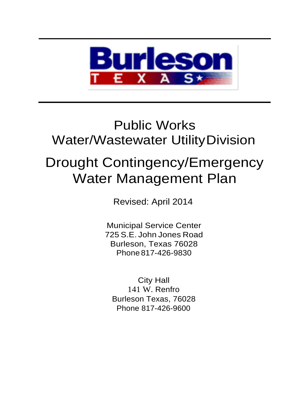

## Public Works Water/Wastewater UtilityDivision

# Drought Contingency/Emergency Water Management Plan

Revised: April 2014

Municipal Service Center 725 S.E. John Jones Road Burleson, Texas 76028 Phone 817-426-9830

City Hall 141 W. Renfro Burleson Texas, 76028 Phone 817-426-9600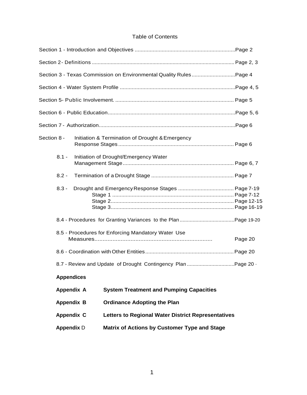### Table of Contents

|                   | Section 3 - Texas Commission on Environmental Quality RulesPage 4 |         |
|-------------------|-------------------------------------------------------------------|---------|
|                   |                                                                   |         |
|                   |                                                                   |         |
|                   |                                                                   |         |
|                   |                                                                   |         |
| Section 8 -       | Initiation & Termination of Drought & Emergency                   |         |
| $8.1 -$           | Initiation of Drought/Emergency Water                             |         |
| $8.2 -$           |                                                                   |         |
| $8.3 -$           |                                                                   |         |
|                   |                                                                   |         |
|                   | 8.5 - Procedures for Enforcing Mandatory Water Use                | Page 20 |
|                   |                                                                   |         |
|                   |                                                                   |         |
| <b>Appendices</b> |                                                                   |         |
| <b>Appendix A</b> | <b>System Treatment and Pumping Capacities</b>                    |         |
| <b>Appendix B</b> | <b>Ordinance Adopting the Plan</b>                                |         |
| <b>Appendix C</b> | <b>Letters to Regional Water District Representatives</b>         |         |
| <b>Appendix D</b> | Matrix of Actions by Customer Type and Stage                      |         |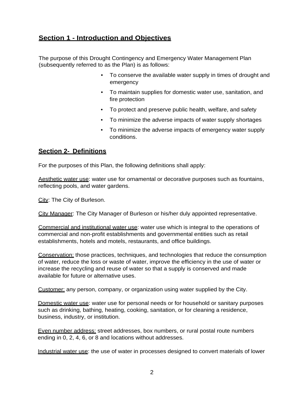## **Section 1 - Introduction and Objectives**

The purpose of this Drought Contingency and Emergency Water Management Plan (subsequently referred to as the Plan) is as follows:

- To conserve the available water supply in times of drought and emergency
- To maintain supplies for domestic water use, sanitation, and fire protection
- To protect and preserve public health, welfare, and safety
- To minimize the adverse impacts of water supply shortages
- To minimize the adverse impacts of emergency water supply conditions.

## **Section 2- Definitions**

For the purposes of this Plan, the following definitions shall apply:

Aesthetic water use: water use for ornamental or decorative purposes such as fountains, reflecting pools, and water gardens.

City: The City of Burleson.

City Manager: The City Manager of Burleson or his/her duly appointed representative.

Commercial and institutional water use: water use which is integral to the operations of commercial and non-profit establishments and governmental entities such as retail establishments, hotels and motels, restaurants, and office buildings.

Conservation: those practices, techniques, and technologies that reduce the consumption of water, reduce the loss or waste of water, improve the efficiency in the use of water or increase the recycling and reuse of water so that a supply is conserved and made available for future or alternative uses.

Customer: any person, company, or organization using water supplied by the City.

Domestic water use: water use for personal needs or for household or sanitary purposes such as drinking, bathing, heating, cooking, sanitation, or for cleaning a residence, business, industry, or institution.

Even number address: street addresses, box numbers, or rural postal route numbers ending in 0, 2, 4, 6, or 8 and locations without addresses.

Industrial water use: the use of water in processes designed to convert materials of lower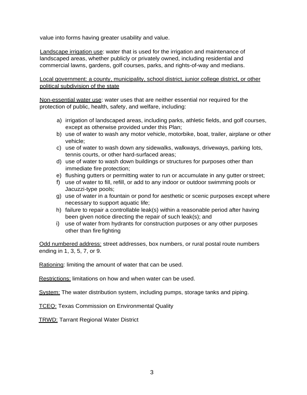value into forms having greater usability and value.

Landscape irrigation use: water that is used for the irrigation and maintenance of landscaped areas, whether publicly or privately owned, including residential and commercial lawns, gardens, golf courses, parks, and rights-of-way and medians.

Local government: a county, municipality, school district, junior college district, or other political subdivision of the state

Non-essential water use: water uses that are neither essential nor required for the protection of public, health, safety, and welfare, including:

- a) irrigation of landscaped areas, including parks, athletic fields, and golf courses, except as otherwise provided under this Plan;
- b) use of water to wash any motor vehicle, motorbike, boat, trailer, airplane or other vehicle;
- c) use of water to wash down any sidewalks, walkways, driveways, parking lots, tennis courts, or other hard-surfaced areas;
- d) use of water to wash down buildings or structures for purposes other than immediate fire protection;
- e) flushing gutters or permitting water to run or accumulate in any gutter orstreet;
- f) use of water to fill, refill, or add to any indoor or outdoor swimming pools or Jacuzzi-type pools;
- g) use of water in a fountain or pond for aesthetic or scenic purposes except where necessary to support aquatic life;
- h) failure to repair a controllable leak(s) within a reasonable period after having been given notice directing the repair of such leak(s); and
- i) use of water from hydrants for construction purposes or any other purposes other than fire fighting

Odd numbered address: street addresses, box numbers, or rural postal route numbers ending in 1, 3, 5, 7, or 9.

Rationing: limiting the amount of water that can be used.

Restrictions: limitations on how and when water can be used.

System: The water distribution system, including pumps, storage tanks and piping.

**TCEQ: Texas Commission on Environmental Quality** 

TRWD: Tarrant Regional Water District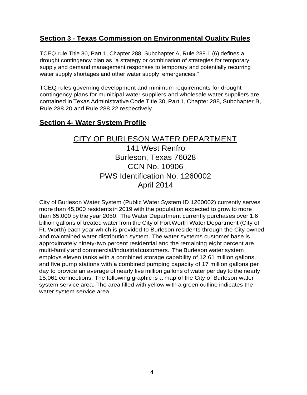## **Section 3 - Texas Commission on Environmental Quality Rules**

TCEQ rule Title 30, Part 1, Chapter 288, Subchapter A, Rule 288.1 (6) defines a drought contingency plan as "a strategy or combination of strategies for temporary supply and demand management responses to temporary and potentially recurring water supply shortages and other water supply emergencies."

TCEQ rules governing development and minimum requirements for drought contingency plans for municipal water suppliers and wholesale water suppliers are contained in Texas Administrative Code Title 30, Part 1, Chapter 288, Subchapter B, Rule 288.20 and Rule 288.22 respectively.

## **Section 4- Water System Profile**

## CITY OF BURLESON WATER DEPARTMENT

141 West Renfro Burleson, Texas 76028 CCN No. 10906 PWS Identification No. 1260002 April 2014

City of Burleson Water System (Public Water System ID 1260002) currently serves more than 45,000 residents in 2019 with the population expected to grow to more than 65,000 by the year 2050. The Water Department currently purchases over 1.6 billion gallons of treated water from the City of FortWorth Water Department (City of Ft. Worth) each year which is provided to Burleson residents through the City owned and maintained water distribution system. The water systems customer base is approximately ninety-two percent residential and the remaining eight percent are multi-family and commercial/industrial customers. The Burleson water system employs eleven tanks with a combined storage capability of 12.61 million gallons, and five pump stations with a combined pumping capacity of 17 million gallons per day to provide an average of nearly five million gallons of water per day to the nearly 15,061 connections. The following graphic is a map of the City of Burleson water system service area. The area filled with yellow with a green outline indicates the water system service area.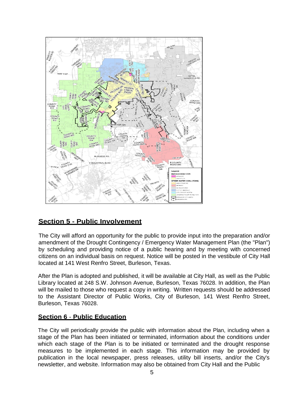

## **Section 5 - Public Involvement**

The City will afford an opportunity for the public to provide input into the preparation and/or amendment of the Drought Contingency / Emergency Water Management Plan (the "Plan") by scheduling and providing notice of a public hearing and by meeting with concerned citizens on an individual basis on request. Notice will be posted in the vestibule of City Hall located at 141 West Renfro Street, Burleson, Texas.

After the Plan is adopted and published, it will be available at City Hall, as well as the Public Library located at 248 S.W. Johnson Avenue, Burleson, Texas 76028. In addition, the Plan will be mailed to those who request a copy in writing. Written requests should be addressed to the Assistant Director of Public Works, City of Burleson, 141 West Renfro Street, Burleson, Texas 76028.

## **Section 6** - **Public Education**

The City will periodically provide the public with information about the Plan, including when a stage of the Plan has been initiated or terminated, information about the conditions under which each stage of the Plan is to be initiated or terminated and the drought response measures to be implemented in each stage. This information may be provided by publication in the local newspaper, press releases, utility bill inserts, and/or the City's newsletter, and website. Information may also be obtained from City Hall and the Public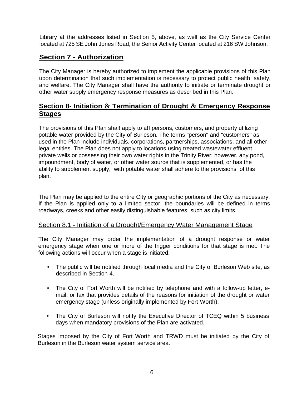Library at the addresses listed in Section 5, above, as well as the City Service Center located at 725 SE John Jones Road, the Senior Activity Center located at 216 SW Johnson.

## **Section 7 - Authorization**

The City Manager is hereby authorized to implement the applicable provisions of this Plan upon determination that such implementation is necessary to protect public health, safety, and welfare. The City Manager shall have the authority to initiate or terminate drought or other water supply emergency response measures as described in this Plan.

## **Section 8- Initiation & Termination of Drought & Emergency Response Stages**

The provisions of this P!an shal! apply to a!I persons, customers, and property utilizing potable water provided by the City of Burleson. The terms "person" and "customers" as used in the Plan include individuals, corporations, partnerships, associations, and all other legal entities. The Plan does not apply to locations using treated wastewater effluent, private wells or possessing their own water rights in the Trinity River; however, any pond, impoundment, body of water, or other water source that is supplemented, or has the ability to supplement supply, with potable water shall adhere to the provisions of this plan.

The Plan may be applied to the entire City or geographic portions of the City as necessary. If the Plan is applied only to a limited sector, the boundaries will be defined in terms roadways, creeks and other easily distinguishable features, such as city limits.

## Section 8.1 - Initiation of a Drought/Emergency Water Management Stage

The City Manager may order the implementation of a drought response or water emergency stage when one or more of the trigger conditions for that stage is met. The following actions will occur when a stage is initiated.

- The public will be notified through local media and the City of Burleson Web site, as described in Section 4.
- The City of Fort Worth will be notified by telephone and with a follow-up letter, email, or fax that provides details of the reasons for initiation of the drought or water emergency stage (unless originally implemented by Fort Worth).
- The City of Burleson will notify the Executive Director of TCEQ within 5 business days when mandatory provisions of the Plan are activated.

Stages imposed by the City of Fort Worth and TRWD must be initiated by the City of Burleson in the Burleson water system service area.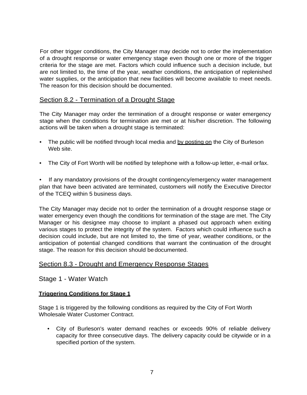For other trigger conditions, the City Manager may decide not to order the implementation of a drought response or water emergency stage even though one or more of the trigger criteria for the stage are met. Factors which could influence such a decision include, but are not limited to, the time of the year, weather conditions, the anticipation of replenished water supplies, or the anticipation that new facilities will become available to meet needs. The reason for this decision should be documented.

#### Section 8.2 - Termination of a Drought Stage

The City Manager may order the termination of a drought response or water emergency stage when the conditions for termination are met or at his/her discretion. The following actions will be taken when a drought stage is terminated:

- The public will be notified through local media and by posting on the City of Burleson Web site.
- The City of Fort Worth will be notified by telephone with a follow-up letter, e-mail orfax.

If any mandatory provisions of the drought contingency/emergency water management plan that have been activated are terminated, customers will notify the Executive Director of the TCEQ within 5 business days.

The City Manager may decide not to order the termination of a drought response stage or water emergency even though the conditions for termination of the stage are met. The City Manager or his designee may choose to implant a phased out approach when exiting various stages to protect the integrity of the system. Factors which could influence such a decision could include, but are not limited to, the time of year, weather conditions, or the anticipation of potential changed conditions that warrant the continuation of the drought stage. The reason for this decision should be documented.

#### Section 8.3 - Drought and Emergency Response Stages

Stage 1 - Water Watch

#### **Triggering Conditions for Stage 1**

Stage 1 is triggered by the following conditions as required by the City of Fort Worth Wholesale Water Customer Contract.

• City of Burleson's water demand reaches or exceeds 90% of reliable delivery capacity for three consecutive days. The delivery capacity could be citywide or in a specified portion of the system.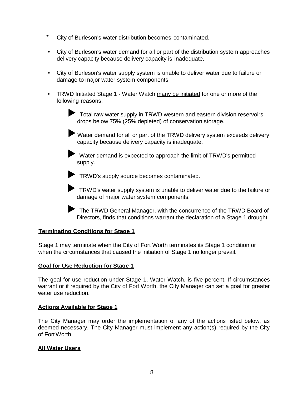- \* City of Burleson's water distribution becomes contaminated.
- City of Burleson's water demand for all or part of the distribution system approaches delivery capacity because delivery capacity is inadequate.
- City of Burleson's water supply system is unable to deliver water due to failure or damage to major water system components.
- TRWD Initiated Stage 1 Water Watch many be initiated for one or more of the following reasons:

◆ Total raw water supply in TRWD western and eastern division reservoirs drops below 75% (25% depleted) of conservation storage.

►Water demand for all or part of the TRWD delivery system exceeds delivery capacity because delivery capacity is inadequate.

► Water demand is expected to approach the limit of TRWD's permitted supply.

► TRWD's supply source becomes contaminated.

► TRWD's water supply system is unable to deliver water due to the failure or damage of major water system components.

► The TRWD General Manager, with the concurrence of the TRWD Board of Directors, finds that conditions warrant the declaration of a Stage 1 drought.

#### **Terminating Conditions for Stage 1**

Stage 1 may terminate when the City of Fort Worth terminates its Stage 1 condition or when the circumstances that caused the initiation of Stage 1 no longer prevail.

#### **Goal for Use Reduction for Stage 1**

The goal for use reduction under Stage 1, Water Watch, is five percent. If circumstances warrant or if required by the City of Fort Worth, the City Manager can set a goal for greater water use reduction

#### **Actions Available for Stage 1**

The City Manager may order the implementation of any of the actions listed below, as deemed necessary. The City Manager must implement any action(s) required by the City of Fort Worth.

#### **All Water Users**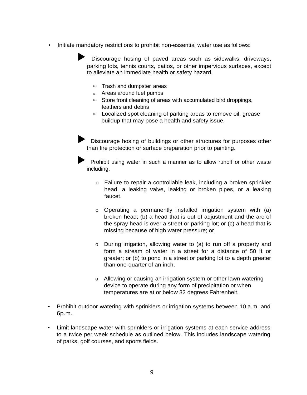• Initiate mandatory restrictions to prohibit non-essential water use as follows:

Discourage hosing of paved areas such as sidewalks, driveways, parking lots, tennis courts, patios, or other impervious surfaces, except to alleviate an immediate health or safety hazard.

- <sup>111</sup> Trash and dumpster areas
- $\mathbb{I}$  Areas around fuel pumps
- $111$  Store front cleaning of areas with accumulated bird droppings, feathers and debris
- <sup>111</sup> Localized spot cleaning of parking areas to remove oil, grease buildup that may pose a health and safety issue.

Discourage hosing of buildings or other structures for purposes other than fire protection or surface preparation prior to painting.

Prohibit using water in such a manner as to allow runoff or other waste including:

- o Failure to repair a controllable leak, including a broken sprinkler head, a leaking valve, leaking or broken pipes, or a leaking faucet.
- o Operating a permanently installed irrigation system with (a) broken head; (b) a head that is out of adjustment and the arc of the spray head is over a street or parking lot; or (c) a head that is missing because of high water pressure; or
- o During irrigation, allowing water to (a) to run off a property and form a stream of water in a street for a distance of 50 ft or greater; or (b) to pond in a street or parking lot to a depth greater than one-quarter of an inch.
- o Allowing or causing an irrigation system or other lawn watering device to operate during any form of precipitation or when temperatures are at or below 32 degrees Fahrenheit.
- Prohibit outdoor watering with sprinklers or irrigation systems between 10 a.m. and 6p.m.
- Limit landscape water with sprinklers or irrigation systems at each service address to a twice per week schedule as outlined below. This includes landscape watering of parks, golf courses, and sports fields.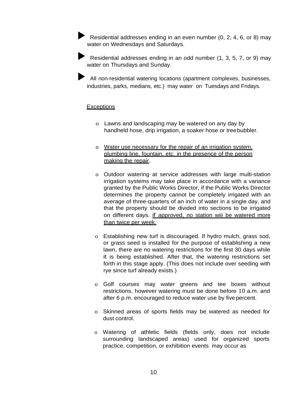Residential addresses ending in an even number (0, 2, 4, 6, or 8) may water on Wednesdays and Saturdays.

► Residential addresses ending in an odd number (1, 3, 5, 7, or 9) may water on Thursdays and Sunday.

► All non-residential watering locations (apartment complexes, businesses, industries, parks, medians, etc.) may water on Tuesdays and Fridays.

#### **Exceptions**

- o Lawns and landscaping may be watered on any day by handheld hose, drip irrigation, a soaker hose or treebubbler.
- o Water use necessary for the repair of an irrigation system, plumbing line, fountain, etc. in the presence of the person making the repair.
- o Outdoor watering at service addresses with large multi-station irrigation systems may take place in accordance with a variance granted by the Public Works Director, if the Public Works Director determines the property cannot be completely irrigated with an average of three-quarters of an inch of water in a single day, and that the property should be divided into sections to be irrigated on different days. if approved, no station wiii be watered more than twice per week.
- o Establishing new turf is discouraged. If hydro mulch, grass sod, or grass seed is installed for the purpose of establishing a new lawn, there are no watering restrictions for the first 30 days while it is being established. After that, the watering restrictions set forth in this stage apply. (This does not include over seeding with rye since turf already exists.)
- o Golf courses may water greens and tee boxes without restrictions, however watering must be done before 10 a.m. and after 6 p.m. encouraged to reduce water use by five percent.
- o Skinned areas of sports fields may be watered as needed for dust control.
- o Watering of athletic fields (fields only, does not include surrounding landscaped areas) used for organized sports practice, competition, or exhibition events may occur as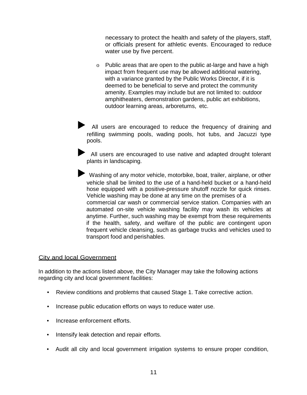necessary to protect the health and safety of the players, staff, or officials present for athletic events. Encouraged to reduce water use by five percent.

o Public areas that are open to the public at-large and have a high impact from frequent use may be allowed additional watering, with a variance granted by the Public Works Director, if it is deemed to be beneficial to serve and protect the community amenity. Examples may include but are not limited to: outdoor amphitheaters, demonstration gardens, public art exhibitions, outdoor learning areas, arboretums, etc.

All users are encouraged to reduce the frequency of draining and refilling swimming pools, wading pools, hot tubs, and Jacuzzi type pools.

► All users are encouraged to use native and adapted drought tolerant plants in landscaping.

► Washing of any motor vehicle, motorbike, boat, trailer, airplane, or other vehicle shall be limited to the use of a hand-held bucket or a hand-held hose equipped with a positive-pressure shutoff nozzle for quick rinses. Vehicle washing may be done at any time on the premises of a commercial car wash or commercial service station. Companies with an automated on-site vehicle washing facility may wash its vehicles at anytime. Further, such washing may be exempt from these requirements if the health, safety, and welfare of the public are contingent upon frequent vehicle cleansing, such as garbage trucks and vehicles used to transport food and perishables.

#### City and local Government

In addition to the actions listed above, the City Manager may take the following actions regarding city and local government facilities:

- Review conditions and problems that caused Stage 1. Take corrective action.
- Increase public education efforts on ways to reduce water use.
- Increase enforcement efforts.
- Intensify leak detection and repair efforts.
- Audit all city and local government irrigation systems to ensure proper condition,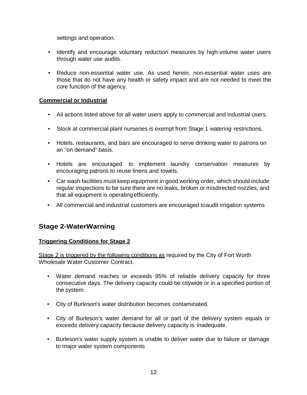settings and operation.

- Identify and encourage voluntary reduction measures by high-volume water users through water use audits.
- Reduce non-essential water use. As used herein, non-essential water uses are those that do not have any health or safety impact and are not needed to meet the core function of the agency.

#### **Commercial or Industrial**

- Ail actions listed above for all water users apply to commercial and industrial users.
- Stock at commercial plant nurseries is exempt from Stage 1 watering restrictions.
- Hotels, restaurants, and bars are encouraged to serve drinking water to patrons on an "on demand" basis.
- Hotels are encouraged to implement laundry conservation measures by encouraging patrons to reuse linens and towels.
- Car wash facilities must keep equipment in good working order, which should include regular inspections to be sure there are no leaks, broken or misdirected nozzles, and that all equipment is operating efficiently.
- All commercial and industrial customers are encouraged toaudit irrigation systems

## **Stage 2-WaterWarning**

#### **Triggering Conditions for Stage 2**

Stage 2 is triggered by the following conditions as required by the City of Fort Worth Wholesale Water Customer Contract.

- Water demand reaches or exceeds 95% of reliable delivery capacity for three consecutive days. The delivery capacity could be citywide or in a specified portion of the system.
- City of Burleson's water distribution becomes contaminated.
- City of Burleson's water demand for all or part of the delivery system equals or exceeds delivery capacity because delivery capacity is inadequate.
- Burleson's water supply system is unable to deliver water due to failure or damage to major water system components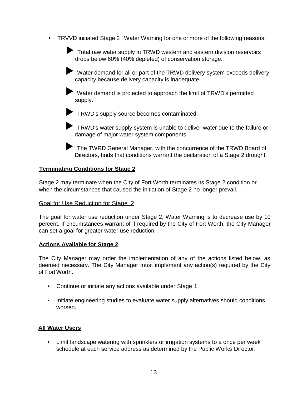• TRVVD initiated Stage 2 , Water Warning for one or more of the following reasons:

● Total raw water supply in TRWD western and eastern division reservoirs drops below 60% (40% depleted) of conservation storage.

► Water demand for all or part of the TRWD delivery system exceeds delivery capacity because delivery capacity is inadequate.

► Water demand is projected to approach the limit of TRWD's permitted supply.

► TRWD's supply source becomes contaminated.

► TRWD's water supply system is unable to deliver water due to the failure or damage of major water system components.

► The TWRD General Manager, with the concurrence of the TRWD Board of Directors, finds that conditions warrant the declaration of a Stage 2 drought.

#### **Terminating Conditions for Stage 2**

Stage 2 may terminate when the City of Fort Worth terminates its Stage 2 condition or when the circumstances that caused the initiation of Stage 2 no longer prevail.

#### Goal for Use Reduction for Stage 2

The goal for water use reduction under Stage 2, Water Warning is to decrease use by 10 percent. If circumstances warrant of if required by the City of Fort Worth, the City Manager can set a goal for greater water use reduction.

#### **Actions Available for Stage 2**

The City Manager may order the implementation of any of the actions listed below, as deemed necessary. The City Manager must implement any action(s) required by the City of Fort Worth.

- Continue or initiate any actions available under Stage 1.
- Initiate engineering studies to evaluate water supply alternatives should conditions worsen.

#### **All Water Users**

• Limit landscape watering with sprinklers or irrigation systems to a once per week schedule at each service address as determined by the Public Works Director.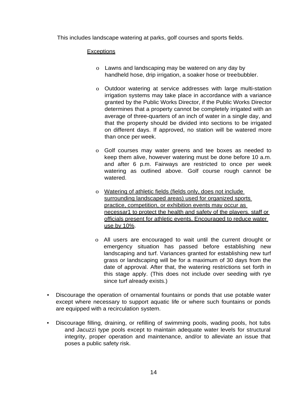This includes landscape watering at parks, golf courses and sports fields.

#### **Exceptions**

- o Lawns and landscaping may be watered on any day by handheld hose, drip irrigation, a soaker hose or treebubbler.
- o Outdoor watering at service addresses with large multi-station irrigation systems may take place in accordance with a variance granted by the Public Works Director, if the Public Works Director determines that a property cannot be completely irrigated with an average of three-quarters of an inch of water in a single day, and that the property should be divided into sections to be irrigated on different days. If approved, no station will be watered more than once per week.
- o Golf courses may water greens and tee boxes as needed to keep them alive, however watering must be done before 10 a.m. and after 6 p.m. Fairways are restricted to once per week watering as outlined above. Golf course rough cannot be watered.
- o Watering of athletic fields (fields only, does not include surrounding landscaped areas) used for organized sports practice, competition, or exhibition events may occur as necessar1 to protect the health and safety of the players. staff or officials present for athletic events. Encouraged to reduce water use by 10%.
- o All users are encouraged to wait until the current drought or emergency situation has passed before establishing new landscaping and turf. Variances granted for establishing new turf grass or landscaping will be for a maximum of 30 days from the date of approval. After that, the watering restrictions set forth in this stage apply. (This does not include over seeding with rye since turf already exists.)
- Discourage the operation of ornamental fountains or ponds that use potable water except where necessary to support aquatic life or where such fountains or ponds are equipped with a recirculation system.
- Discourage filling, draining, or refilling of swimming pools, wading pools, hot tubs and Jacuzzi type pools except to maintain adequate water levels for structural integrity, proper operation and maintenance, and/or to alleviate an issue that poses a public safety risk.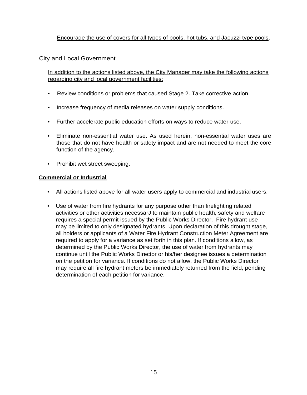#### Encourage the use of covers for all types of pools, hot tubs, and Jacuzzi type pools.

#### City and Local Government

In addition to the actions listed above, the City Manager may take the following actions regarding city and local government facilities:

- Review conditions or problems that caused Stage 2. Take corrective action.
- Increase frequency of media releases on water supply conditions.
- Further accelerate public education efforts on ways to reduce water use.
- Eliminate non-essential water use. As used herein, non-essential water uses are those that do not have health or safety impact and are not needed to meet the core function of the agency.
- Prohibit wet street sweeping.

#### **Commercial or Industrial**

- All actions listed above for all water users apply to commercial and industrial users.
- Use of water from fire hydrants for any purpose other than firefighting related activities or other activities necessarJ to maintain public health, safety and welfare requires a special permit issued by the Public Works Director. Fire hydrant use may be limited to only designated hydrants. Upon declaration of this drought stage, all holders or applicants of a Water Fire Hydrant Construction Meter Agreement are required to apply for a variance as set forth in this plan. If conditions allow, as determined by the Public Works Director, the use of water from hydrants may continue until the Public Works Director or his/her designee issues a determination on the petition for variance. If conditions do not allow, the Public Works Director may require all fire hydrant meters be immediately returned from the field, pending determination of each petition for variance.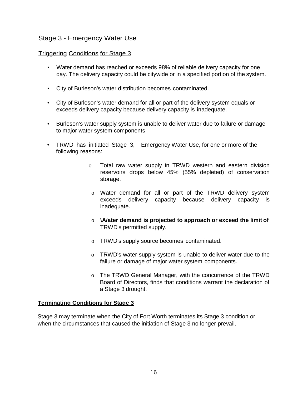## Stage 3 - Emergency Water Use

#### Triggering Conditions for Stage 3

- Water demand has reached or exceeds 98% of reliable delivery capacity for one day. The delivery capacity could be citywide or in a specified portion of the system.
- City of Burleson's water distribution becomes contaminated.
- City of Burleson's water demand for all or part of the delivery system equals or exceeds delivery capacity because delivery capacity is inadequate.
- Burleson's water supply system is unable to deliver water due to failure or damage to major water system components
- TRWD has initiated Stage 3, Emergency Water Use, for one or more of the following reasons:
	- o Total raw water supply in TRWD western and eastern division reservoirs drops below 45% (55% depleted) of conservation storage.
	- o Water demand for all or part of the TRWD delivery system exceeds delivery capacity because delivery capacity is inadequate.
	- o **\A/ater demand is projected to approach or exceed the limit of** TRWD's permitted supply.
	- o TRWD's supply source becomes contaminated.
	- o TRWD's water supply system is unable to deliver water due to the failure or damage of major water system components.
	- o The TRWD General Manager, with the concurrence of the TRWD Board of Directors, finds that conditions warrant the declaration of a Stage 3 drought.

#### **Terminating Conditions for Stage 3**

Stage 3 may terminate when the City of Fort Worth terminates its Stage 3 condition or when the circumstances that caused the initiation of Stage 3 no longer prevail.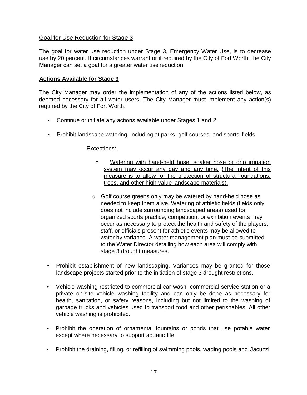#### Goal for Use Reduction for Stage 3

The goal for water use reduction under Stage 3, Emergency Water Use, is to decrease use by 20 percent. If circumstances warrant or if required by the City of Fort Worth, the City Manager can set a goal for a greater water use reduction.

#### **Actions Available for Stage 3**

The City Manager may order the implementation of any of the actions listed below, as deemed necessary for all water users. The City Manager must implement any action(s) required by the City of Fort Worth.

- Continue or initiate any actions available under Stages 1 and 2.
- Prohibit landscape watering, including at parks, golf courses, and sports fields.

#### Exceptions:

- o Watering with hand-held hose, soaker hose or drip irrigation system may occur any day and any time. (The intent of this measure is to allow for the protection of structural foundations, trees, and other high value landscape materials).
- o Golf course greens only may be watered by hand-held hose as needed to keep them alive. Watering of athletic fields (fields only, does not include surrounding landscaped areas) used for organized sports practice, competition, or exhibition events may occur as necessary to protect the health and safety of the players, staff, or officials present for athletic events may be allowed to water by variance. A water management plan must be submitted to the Water Director detailing how each area will comply with stage 3 drought measures.
- Prohibit establishment of new landscaping. Variances may be granted for those landscape projects started prior to the initiation of stage 3 drought restrictions.
- Vehicle washing restricted to commercial car wash, commercial service station or a private on-site vehicle washing facility and can only be done as necessary for health, sanitation, or safety reasons, including but not limited to the washing of garbage trucks and vehicles used to transport food and other perishables. All other vehicle washing is prohibited.
- Prohibit the operation of ornamental fountains or ponds that use potable water except where necessary to support aquatic life.
- Prohibit the draining, filling, or refilling of swimming pools, wading pools and Jacuzzi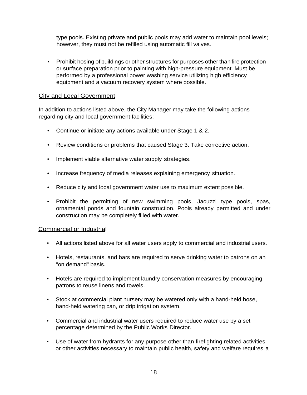type pools. Existing private and public pools may add water to maintain pool levels; however, they must not be refilled using automatic fill valves.

• Prohibit hosing of buildings or other structures for purposes other than fire protection or surface preparation prior to painting with high-pressure equipment. Must be performed by a professional power washing service utilizing high efficiency equipment and a vacuum recovery system where possible.

#### City and Local Government

In addition to actions listed above, the City Manager may take the following actions regarding city and local government facilities:

- Continue or initiate any actions available under Stage 1 & 2.
- Review conditions or problems that caused Stage 3. Take corrective action.
- Implement viable alternative water supply strategies.
- Increase frequency of media releases explaining emergency situation.
- Reduce city and local government water use to maximum extent possible.
- Prohibit the permitting of new swimming pools, Jacuzzi type pools, spas, ornamental ponds and fountain construction. Pools already permitted and under construction may be completely filled with water.

#### Commercial or Industrial

- All actions listed above for all water users apply to commercial and industrial users.
- Hotels, restaurants, and bars are required to serve drinking water to patrons on an "on demand" basis.
- Hotels are required to implement laundry conservation measures by encouraging patrons to reuse linens and towels.
- Stock at commercial plant nursery may be watered only with a hand-held hose, hand-held watering can, or drip irrigation system.
- Commercial and industrial water users required to reduce water use by a set percentage determined by the Public Works Director.
- Use of water from hydrants for any purpose other than firefighting related activities or other activities necessary to maintain public health, safety and welfare requires a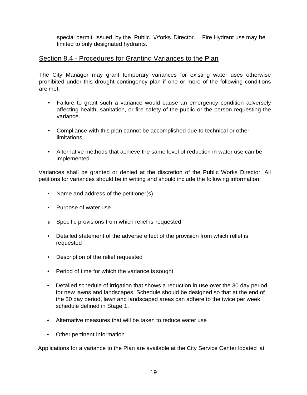special permit issued by the Public Vitorks Director. Fire Hydrant use may be limited to only designated hydrants.

## Section 8.4 - Procedures for Granting Variances to the Plan

The City Manager may grant temporary variances for existing water uses otherwise prohibited under this drought contingency plan if one or more of the following conditions are met:

- Failure to grant such a variance would cause an emergency condition adversely affecting health, sanitation, or fire safety of the public or the person requesting the variance.
- Compliance with this plan cannot be accomplished due to technical or other limitations.
- Alternative methods that achieve the same level of reduction in water use can be implemented.

Variances shall be granted or denied at the discretion of the Public Works Director. All petitions for variances should be in writing and should include the following information:

- Name and address of the petitioner(s)
- Purpose of water use
- e Specific provisions from which relief is requested
- Detailed statement of the adverse effect of the provision from which relief is requested
- Description of the relief requested
- Period of time for which the variance is sought
- Detailed schedule of irrigation that shows a reduction in use over the 30 day period for new lawns and landscapes. Schedule should be designed so that at the end of the 30 day period, lawn and landscaped areas can adhere to the twice per week schedule defined in Stage 1.
- Alternative measures that will be taken to reduce water use
- Other pertinent information

Applications for a variance to the Plan are available at the City Service Center located at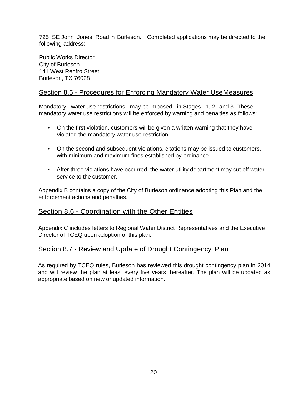725 SE John Jones Road in Burleson. Completed applications may be directed to the following address:

Public Works Director City of Burleson 141 West Renfro Street Burleson, TX 76028

## Section 8.5 - Procedures for Enforcing Mandatory Water UseMeasures

Mandatory water use restrictions may be imposed in Stages 1, 2, and 3. These mandatory water use restrictions will be enforced by warning and penalties as follows:

- On the first violation, customers will be given a written warning that they have violated the mandatory water use restriction.
- On the second and subsequent violations, citations may be issued to customers, with minimum and maximum fines established by ordinance.
- After three violations have occurred, the water utility department may cut off water service to the customer.

Appendix B contains a copy of the City of Burleson ordinance adopting this Plan and the enforcement actions and penalties.

## Section 8.6 - Coordination with the Other Entities

Appendix C includes letters to Regional Water District Representatives and the Executive Director of TCEQ upon adoption of this plan.

## Section 8.7 - Review and Update of Drought Contingency Plan

As required by TCEQ rules, Burleson has reviewed this drought contingency plan in 2014 and will review the plan at least every five years thereafter. The plan will be updated as appropriate based on new or updated information.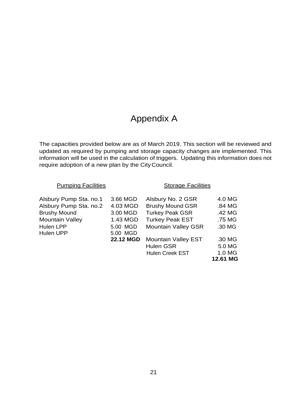## Appendix A

The capacities provided below are as of March 2019. This section will be reviewed and updated as required by pumping and storage capacity changes are implemented. This information will be used in the calculation of triggers. Updating this information does not require adoption of a new plan by the CityCouncil.

| <b>Pumping Facilities</b> |                  | <b>Storage Facilities</b>  |          |
|---------------------------|------------------|----------------------------|----------|
| Alsbury Pump Sta. no.1    | 3.66 MGD         | Alsbury No. 2 GSR          | 4.0 MG   |
| Alsbury Pump Sta. no.2    | 4.03 MGD         | <b>Brushy Mound GSR</b>    | .84 MG   |
| <b>Brushy Mound</b>       | 3.00 MGD         | <b>Turkey Peak GSR</b>     | .42 MG   |
| <b>Mountain Valley</b>    | 1.43 MGD         | <b>Turkey Peak EST</b>     | .75 MG   |
| <b>Hulen LPP</b>          | 5.00 MGD         | <b>Mountain Valley GSR</b> | .30 MG   |
| Hulen UPP                 | 5.00 MGD         |                            |          |
|                           | <b>22.12 MGD</b> | <b>Mountain Valley EST</b> | .30 MG   |
|                           |                  | <b>Hulen GSR</b>           | 5.0 MG   |
|                           |                  | <b>Hulen Creek EST</b>     | 1.0 MG   |
|                           |                  |                            | 12.61 MG |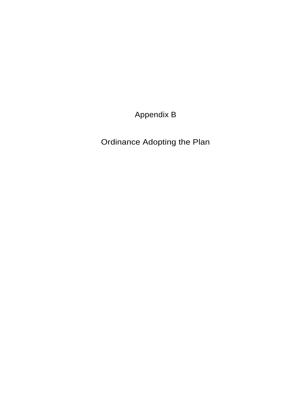Appendix B

Ordinance Adopting the Plan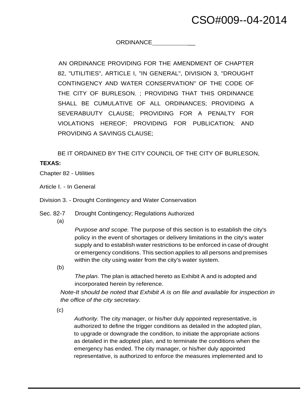### ORDINANCE \_

AN ORDINANCE PROVIDING FOR THE AMENDMENT OF CHAPTER 82, "UTILITIES", ARTICLE I, "IN GENERAL", DIVISION 3, "DROUGHT CONTINGENCY AND WATER CONSERVATION" OF THE CODE OF THE CITY OF BURLESON. ; PROVIDING THAT THIS ORDINANCE SHALL BE CUMULATIVE OF ALL ORDINANCES; PROVIDING A SEVERABUUTY CLAUSE; PROVIDING FOR A PENALTY FOR VIOLATIONS HEREOF; PROVIDING FOR PUBLICATION; AND PROVIDING A SAVINGS CLAUSE;

BE IT ORDAINED BY THE CITY COUNCIL OF THE CITY OF BURLESON,

#### **TEXAS:**

- Chapter 82 Utilities
- Article I. In General

Division 3. - Drought Contingency and Water Conservation

- Sec. 82-7 Drought Contingency; Regulations Authorized
	- (a)

*Purpose and scope.* The purpose of this section is to establish the city's policy in the event of shortages or delivery limitations in the city's water supply and to establish water restrictions to be enforced in case of drought or emergency conditions. This section applies to all persons and premises within the city using water from the city's water system.

(b)

*The plan.* The plan is attached hereto as Exhibit A and is adopted and incorporated herein by reference.

*Note-It should be noted that Exhibit A is on file and available for inspection in the office of the city secretary.*

(c)

*Authority.* The city manager, or his/her duly appointed representative, is authorized to define the trigger conditions as detailed in the adopted plan, to upgrade or downgrade the condition, to initiate the appropriate actions as detailed in the adopted plan, and to terminate the conditions when the emergency has ended. The city manager, or his/her duly appointed representative, is authorized to enforce the measures implemented and to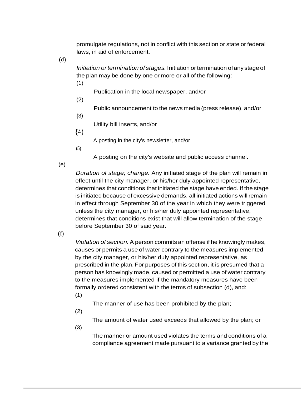promulgate regulations, not in conflict with this section or state or federal laws, in aid of enforcement.

(d)

*Initiation ortermination of stages.* Initiation ortermination ofany stage of the plan may be done by one or more or all of the following:

Publication in the local newspaper, and/or

(2)

(1)

Public announcement to the news media (press release), and/or

{3)

Utility bill inserts, and/or

{4)

A posting in the city's newsletter, and/or

(5)

A posting on the city's website and public access channel.

(e)

*Duration of stage; change.* Any initiated stage of the plan will remain in effect until the city manager, or his/her duly appointed representative, determines that conditions that initiated the stage have ended. If the stage is initiated because of excessive demands, all initiated actions willremain in effect through September 30 of the year in which they were triggered unless the city manager, or his/her duly appointed representative, determines that conditions exist that will allow termination of the stage before September 30 of said year.

(f)

*Violation of section.* A person commits an offense if he knowingly makes, causes or permits a use of water contrary to the measures implemented by the city manager, or his/her duly appointed representative, as prescribed in the plan. For purposes of this section, it is presumed that a person has knowingly made, caused or permitted a use of water contrary to the measures implemented if the mandatory measures have been formally ordered consistent with the terms of subsection (d), and:

(1)

The manner of use has been prohibited by the plan;

(2)

(3)

The amount of water used exceeds that allowed by the plan; or

The manner or amount used violates the terms and conditions of a compliance agreement made pursuant to a variance granted by the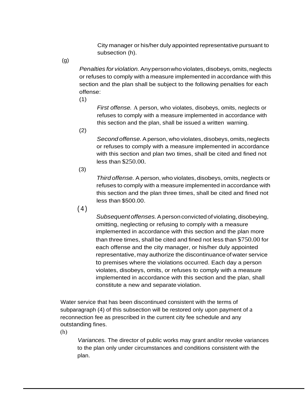City manager or his/her duly appointed representative pursuant to subsection (h).

(g)

*Penalties for violation.*Anypersonwho violates, disobeys, omits,neglects or refuses to comply with a measure implemented in accordance with this section and the plan shall be subject to the following penalties for each offense:

(1)

*First offense.* A person, who violates, disobeys, omits, neglects or refuses to comply with a measure implemented in accordance with this section and the plan, shall be issued a written warning.

(2)

Second offense. A person, who violates, disobeys, omits, neglects or refuses to comply with a measure implemented in accordance with this section and plan two times, shall be cited and fined not less than \$250.00.

(3)

*Third offense.* Aperson, who violates, disobeys, omits, neglects or refuses to comply with a measure implemented in accordance with this section and the plan three times, shall be cited and fined not less than \$500.00.

(4)

*Subsequent offenses.*Apersonconvictedof violating,disobeying, omitting, neglecting or refusing to comply with a measure implemented in accordance with this section and the plan more than three times, shall be cited and fined not less than \$750.00 for each offense and the city manager, or his/her duly appointed representative, may authorize the discontinuance of water service to premises where the violations occurred. Each day a person violates, disobeys, omits, or refuses to comply with a measure implemented in accordance with this section and the plan, shall constitute a new and separate violation.

Water service that has been discontinued consistent with the terms of subparagraph (4) of this subsection will be restored only upon payment of a reconnection fee as prescribed in the current city fee schedule and any outstanding fines.

(h)

*Variances.* The director of public works may grant and/or revoke variances to the plan only under circumstances and conditions consistent with the plan.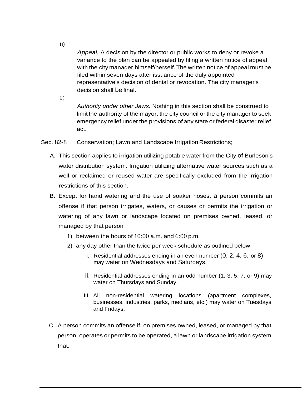*Appeal.* A decision by the director or public works to deny or revoke a variance to the plan can be appealed by filing a written notice of appeal with the city manager himself/herself. The written notice of appeal must be filed within seven days after issuance of the duly appointed representative's decision of denial or revocation. The city manager's decision shall be final.

0)

*Authority under other Jaws.* Nothing in this section shall be construed to limit the authority of the mayor, the city council or the city manager to seek emergency relief under the provisions of any state or federal disaster relief act.

Sec. 82-8 Conservation; Lawn and Landscape Irrigation Restrictions;

- A. This section applies to irrigation utilizing potable water from the City of Burleson's water distribution system. Irrigation utilizing alternative water sources such as a well or reclaimed or reused water are specifically excluded from the irrigation restrictions of this section.
- B. Except for hand watering and the use of soaker hoses, a person commits an offense if that person irrigates, waters, or causes or permits the irrigation or watering of any lawn or landscape located on premises owned, leased, or managed by that person
	- 1) between the hours of  $10:00$  a.m. and  $6:00$  p.m.
	- 2) any day other than the twice per week schedule as outlined below
		- i. Residential addresses ending in an even number (0, 2, 4, 6, or 8) may water on Wednesdays and Saturdays.
		- ii. Residential addresses ending in an odd number (1, 3, 5, 7, or 9) may water on Thursdays and Sunday.
		- iii. All non-residential watering locations (apartment complexes, businesses, industries, parks, medians, etc.) may water on Tuesdays and Fridays.
- C. A person commits an offense if, on premises owned, leased, or managed by that person, operates or permits to be operated, a lawn or landscape irrigation system that:

(i)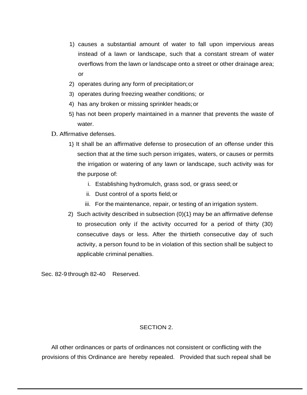- 1) causes a substantial amount of water to fall upon impervious areas instead of a lawn or landscape, such that a constant stream of water overflows from the lawn or landscape onto a street or other drainage area; or
- 2) operates during any form of precipitation;or
- 3) operates during freezing weather conditions; or
- 4) has any broken or missing sprinkler heads;or
- 5} has not been properly maintained in a manner that prevents the waste of water.
- D. Affirmative defenses.
	- 1} It shall be an affirmative defense to prosecution of an offense under this section that at the time such person irrigates, waters, or causes or permits the irrigation or watering of any lawn or landscape, such activity was for the purpose of:
		- i. Establishing hydromulch, grass sod, or grass seed; or
		- ii. Dust control of a sports field;or
		- iii. For the maintenance, repair, or testing of an irrigation system.
	- 2) Such activity described in subsection (0)(1} may be an affirmative defense to prosecution only if the activity occurred for a period of thirty (30) consecutive days or less. After the thirtieth consecutive day of such activity, a person found to be in violation of this section shall be subject to applicable criminal penalties.

Sec. 82-9 through 82-40 Reserved.

#### SECTION 2.

All other ordinances or parts of ordinances not consistent or conflicting with the provisions of this Ordinance are hereby repealed. Provided that such repeal shall be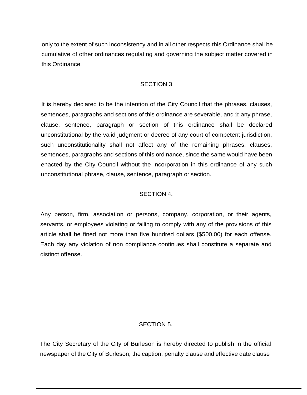only to the extent of such inconsistency and in all other respects this Ordinance shall be cumulative of other ordinances regulating and governing the subject matter covered in this Ordinance.

#### SECTION 3.

It is hereby declared to be the intention of the City Council that the phrases, clauses, sentences, paragraphs and sections of this ordinance are severable, and if any phrase, clause, sentence, paragraph or section of this ordinance shall be declared unconstitutional by the valid judgment or decree of any court of competent jurisdiction, such unconstitutionality shall not affect any of the remaining phrases, clauses, sentences, paragraphs and sections of this ordinance, since the same would have been enacted by the City Council without the incorporation in this ordinance of any such unconstitutional phrase, clause, sentence, paragraph or section.

#### SECTION 4.

Any person, firm, association or persons, company, corporation, or their agents, servants, or employees violating or failing to comply with any of the provisions of this article shall be fined not more than five hundred dollars {\$500.00) for each offense. Each day any violation of non compliance continues shall constitute a separate and distinct offense.

#### SECTION 5.

The City Secretary of the City of Burleson is hereby directed to publish in the official newspaper of the City of Burleson, the caption, penalty clause and effective date clause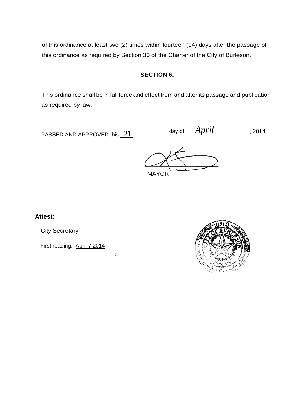of this ordinance at least two (2) times within fourteen (14) days after the passage of this ordinance as required by Section 36 of the Charter of the City of Burleson.

#### **SECTION 6.**

This ordinance shall be in full force and effect from and after its passage and publication as required by law.

PASSED AND APPROVED this  $21$  day of  $\frac{April}{ }$ , 2014.

MAYOR

#### **Attest:**

City Secretary

First reading: April 7,2014

*1*

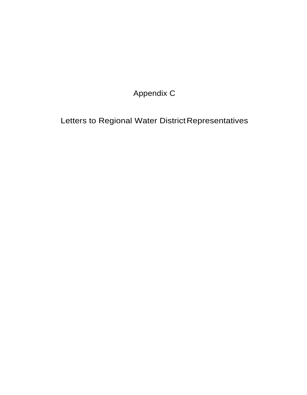Appendix C

Letters to Regional Water District Representatives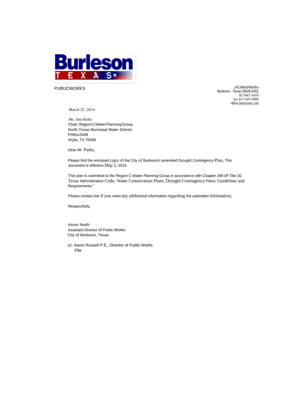

PUBUCWORKS 141WestRenfro Burleson, Texas 76028-4261 817447-5410 lax 817-447·9989 •Mvw,bum!sontx.com

March 27, 2014

Mr. Jim Parks Chair, Region C Water Planning Group North Texas Municipal Water District P08ox2408 Wylie, TX 75098

Dear Mr. Parks,

Please find the enclosed copy of the City of Burleson's amended Drought Contingency Plan, This document is effective May 1, 2014.

This plan is submitted to the Region C Water Planning Group in accordance with Chapter 288 of Title 30, Texas Administrative Code, "Water Conservation Plans, Drought Contingency Plans, Guidelines and Requirements:''

Please contact me lf you need any additional information regarding the submitted information,

Respectfully,

Kevin North Assistant Director of Public Works City of Burleson, Texas

*cc:* Aaron Russell P.E., Director of Public Works File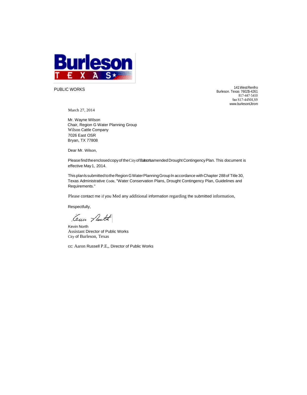

PUBLIC WORKS

141WestRenfro Burleson. Texas 7602\$-4261 817-447·5410 fax S17-44NH,S9 www.burlesontJtrom

March 27, 2014

Mr. Wayne Wilson Chair, Region G Water Planning Group Wilson Cattle Company 7026 East OSR Bryan, TX 77808

Dear Mr. Wilson,

Please find the enclosed copy of the City of Bulterstamended Drought Contingency Plan. This document is effective May1, 2014.

This planlssubmitted tothe RegionGWaterPlanningGroupln accordance withChapter 288of Title30, Texas Administrative Code, "Water Conservation Plans, Drought Contingency Plan, Guidelines and Requirements."

Please contact me if you Med any additional information regarding the submitted information,

Respectfully,

Cem Auth

Kevin North Assistant Director of Public Works City of Burleson, Texas

cc: Aaron Russell P.E,, Director of Public Works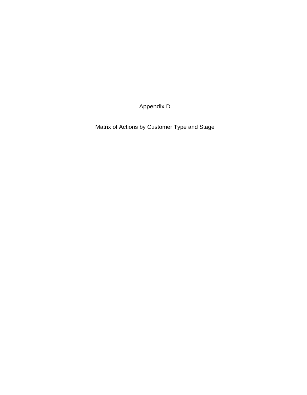Appendix D

Matrix of Actions by Customer Type and Stage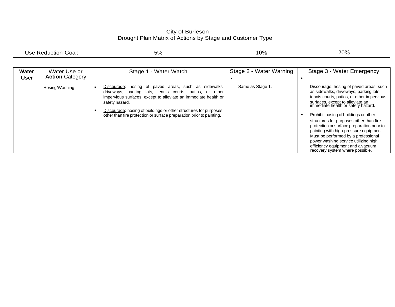#### City of Burleson Drought Plan Matrix of Actions by Stage and Customer Type

|                             | Use Reduction Goal:                    | 5%                                                                                                                                                                                                                                                                                                                                                    | 10%                     | 20%                                                                                                                                                                                                                                                                                                                                                                                                                                                                                                                                          |
|-----------------------------|----------------------------------------|-------------------------------------------------------------------------------------------------------------------------------------------------------------------------------------------------------------------------------------------------------------------------------------------------------------------------------------------------------|-------------------------|----------------------------------------------------------------------------------------------------------------------------------------------------------------------------------------------------------------------------------------------------------------------------------------------------------------------------------------------------------------------------------------------------------------------------------------------------------------------------------------------------------------------------------------------|
| <b>Water</b><br><b>User</b> | Water Use or<br><b>Action Category</b> | Stage 1 - Water Watch                                                                                                                                                                                                                                                                                                                                 | Stage 2 - Water Warning | Stage 3 - Water Emergency                                                                                                                                                                                                                                                                                                                                                                                                                                                                                                                    |
|                             | Hosing/Washing                         | hosing of paved areas, such as sidewalks,<br>Discourage:<br>driveways, parking lots, tennis courts, patios, or other<br>impervious surfaces, except to alleviate an immediate health or<br>safety hazard.<br>Discourage: hosing of buildings or other structures for purposes<br>other than fire protection or surface preparation prior to painting. | Same as Stage 1.        | Discourage: hosing of paved areas, such<br>as sidewalks, driveways, parking lots,<br>tennis courts, patios, or other impervious<br>surfaces, except to alleviate an<br>immediate health or safety hazard.<br>Prohibit hosing of buildings or other<br>structures for purposes other than fire<br>protection or surface preparation prior to<br>painting with high-pressure equipment.<br>Must be performed by a professional<br>power washing service utilizing high<br>efficiency equipment and a vacuum<br>recovery system where possible. |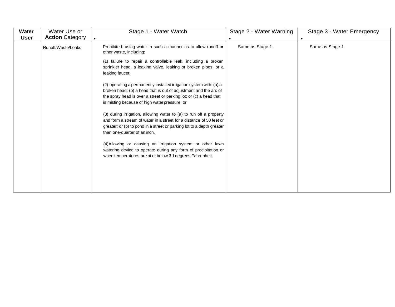| Water<br><b>User</b> | Water Use or<br><b>Action Category</b> | Stage 1 - Water Watch                                                                                                                                                                                                                                                                                                                                                                                                                                                                                                                                                                                                                                                                                                                                                                                                                                                                                                                                                | Stage 2 - Water Warning | Stage 3 - Water Emergency |
|----------------------|----------------------------------------|----------------------------------------------------------------------------------------------------------------------------------------------------------------------------------------------------------------------------------------------------------------------------------------------------------------------------------------------------------------------------------------------------------------------------------------------------------------------------------------------------------------------------------------------------------------------------------------------------------------------------------------------------------------------------------------------------------------------------------------------------------------------------------------------------------------------------------------------------------------------------------------------------------------------------------------------------------------------|-------------------------|---------------------------|
|                      | Runoff/Waste/Leaks                     | Prohibited: using water in such a manner as to allow runoff or<br>other waste, including:<br>(1) failure to repair a controllable leak, including a broken<br>sprinkler head, a leaking valve, leaking or broken pipes, or a<br>leaking faucet;<br>(2) operating a permanently installed irrigation system with: (a) a<br>broken head; (b) a head that is out of adjustment and the arc of<br>the spray head is over a street or parking lot; or (c) a head that<br>is misting because of high water pressure; or<br>(3) during irrigation, allowing water to (a) to run off a property<br>and form a stream of water in a street for a distance of 50 feet or<br>greater; or (b) to pond in a street or parking lot to a depth greater<br>than one-quarter of an inch.<br>(4) Allowing or causing an irrigation system or other lawn<br>watering device to operate during any form of precipitation or<br>when temperatures are at or below 3 1 degrees Fahrenheit. | Same as Stage 1.        | Same as Stage 1.          |
|                      |                                        |                                                                                                                                                                                                                                                                                                                                                                                                                                                                                                                                                                                                                                                                                                                                                                                                                                                                                                                                                                      |                         |                           |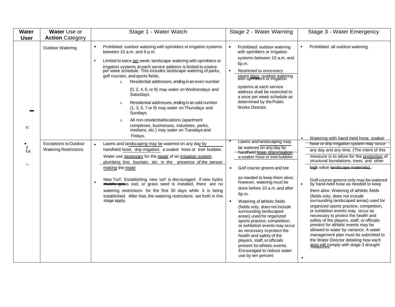| <b>Water</b><br><b>User</b>    | Water Use or<br><b>Action Category</b>                       | Stage 1 - Water Watch                                                                                                                                                                                                                                                                                                                                                                                                                                                                                                                                                                                                                                                                                                                                                                            | Stage 2 - Water Warning                                                                                                                                                                                                                                                                                                                                                                                                                                                                                                                                                                                                                    | Stage 3 - Water Emergency                                                                                                                                                                                                                                                                                                                                                                                                                                                                                                                                                                                                                                                                                                                                                                                                                                     |
|--------------------------------|--------------------------------------------------------------|--------------------------------------------------------------------------------------------------------------------------------------------------------------------------------------------------------------------------------------------------------------------------------------------------------------------------------------------------------------------------------------------------------------------------------------------------------------------------------------------------------------------------------------------------------------------------------------------------------------------------------------------------------------------------------------------------------------------------------------------------------------------------------------------------|--------------------------------------------------------------------------------------------------------------------------------------------------------------------------------------------------------------------------------------------------------------------------------------------------------------------------------------------------------------------------------------------------------------------------------------------------------------------------------------------------------------------------------------------------------------------------------------------------------------------------------------------|---------------------------------------------------------------------------------------------------------------------------------------------------------------------------------------------------------------------------------------------------------------------------------------------------------------------------------------------------------------------------------------------------------------------------------------------------------------------------------------------------------------------------------------------------------------------------------------------------------------------------------------------------------------------------------------------------------------------------------------------------------------------------------------------------------------------------------------------------------------|
| S                              | <b>Outdoor Watering</b>                                      | Prohibited: outdoor watering with sprinklers or irrigation systems<br>$\bullet$<br>between 10 a.m. and 6 p.m.<br>Limited to twice per week: landscape watering with sprinklers or<br>$\bullet$<br>irrigation systems at each service address is limited to a twice<br>per week schedule. This includes landscape watering of parks,<br>golf courses, and sports fields.<br>Residential addresses, ending in an even number<br>$\mathbf{0}$<br>(0, 2, 4, 6, or 8) may water on Wednesdays and<br>Saturdays.<br>Residential addresses, ending in an odd number<br>$\Omega$<br>(1, 3, 5, 7 or 9) may water on Thursdays and<br>Sundays.<br>All non-residentiallocations (apartment<br>$\Omega$<br>complexes, businesses, industries, parks,<br>medians, etc.) may water on Tuesdays and<br>Fridays. | Prohibited: outdoor watering<br>with sprinklers or irrigation<br>systems between 10 a.m. and<br>6p.m.<br>Restricted to once every<br>seven days: outdoor watering<br>with spiritulers or irrigation<br>systems at each service<br>address shall be restricted to<br>a once per week schedule as<br>determined by the Public<br>Works Director.                                                                                                                                                                                                                                                                                             | Prohibited: all outdoor watering.                                                                                                                                                                                                                                                                                                                                                                                                                                                                                                                                                                                                                                                                                                                                                                                                                             |
| <b>CD</b><br>$I_{\cdot,\cdot}$ | <b>Exceptions to Outdoor</b><br><b>Watering Restrictions</b> | Lawns and landscaping may be watered on any day by<br>handheld hose, drip irrigation. a soaker hose or tree bubbler.<br>Water use necessary for the repair of an irrigation system.<br>plumbing line. fountain. etc. in the_ presence of the person<br>making the repair<br>New Turf: Establishing new turf is discouraged. If new hydro<br>$\bullet$<br>mulch, grass sod, or grass seed is installed, there are no<br>watering restrictions for the first 30 days while it is being<br>established. After that, the watering restrictions set forth in this<br>stage apply.                                                                                                                                                                                                                     | Lawns and landscaping may<br>be watered on any day by<br>handheld hose, drip irrigation.<br>a soaker hose or tree bubbler.<br>Golf course greens and tee<br>as needed to keep them alive;<br>however, watering must be<br>done before 10 a.m. and after<br>6p.m.<br>Watering of athletic fields<br>(fields only, does not include<br>surrounding landscaped<br>areas) used for organized<br>sports practice, competition,<br>or exhibition events may occur<br>as necessary to protect the<br>health and safety of the<br>players, staff, or officials<br>present for athletic events.<br>Encouraged to reduce water<br>use by ten percent | Watering with hand-held hose, soaker<br>hose or drip irrigation system may occur<br>any day and any time. (The intent of this<br>measure is to allow for the protection of<br>structural foundations. trees. and other<br>high value landscape materials).<br>Golf course greens only may be watered<br>by hand-held hose as needed to keep<br>them alive. Watering of athletic fields<br>(fields only, does not include<br>surrounding landscaped areas) used for<br>organized sports practice, competition,<br>or exhibition events may occur as<br>necessary to protect the health and<br>safety of the players, staff, or officials<br>present for athletic events may be<br>allowed to water by variance. A water<br>management plan must be submitted to<br>the Water Director detailing how each<br>area will comply with stage 3 drought<br>$\bullet$ |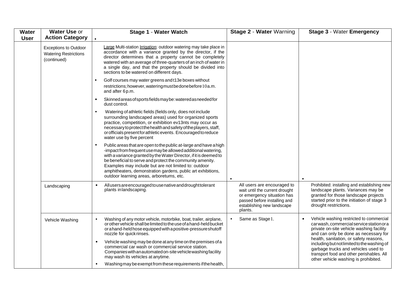| <b>Water</b><br><b>User</b> | Water Use or<br><b>Action Category</b>                                      | <b>Stage 1 - Water Watch</b>                                                                                                                                                                                                                                                                                                                                                                                                              | Stage 2 - Water Warning                                                                                                                                              | <b>Stage 3 - Water Emergency</b>                                                                                                                                                                                  |
|-----------------------------|-----------------------------------------------------------------------------|-------------------------------------------------------------------------------------------------------------------------------------------------------------------------------------------------------------------------------------------------------------------------------------------------------------------------------------------------------------------------------------------------------------------------------------------|----------------------------------------------------------------------------------------------------------------------------------------------------------------------|-------------------------------------------------------------------------------------------------------------------------------------------------------------------------------------------------------------------|
|                             | <b>Exceptions to Outdoor</b><br><b>Watering Restrictions</b><br>(continued) | Large Multi-station Irrigation: outdoor watering may take place in<br>accordance with a variance granted by the director, if the<br>director determines that a property cannot be completely<br>watered with an average of three-quarters of an inch of water in<br>a single day, and that the property should be divided into<br>sections to be watered on different days.                                                               |                                                                                                                                                                      |                                                                                                                                                                                                                   |
|                             |                                                                             | Golf courses may water greens and t13e boxes without<br>restrictions; however, watering must be done before 10a.m.<br>and after 6p.m.                                                                                                                                                                                                                                                                                                     |                                                                                                                                                                      |                                                                                                                                                                                                                   |
|                             |                                                                             | Skinned areas of sports fields may be: watered as needed for<br>dust control.                                                                                                                                                                                                                                                                                                                                                             |                                                                                                                                                                      |                                                                                                                                                                                                                   |
|                             |                                                                             | Watering of athletic fields (fields only, does not include<br>surrounding landscaped areas) used for organized sports<br>practice, competition, or exhibition ev13nts may occur as<br>necessary to protect the health and safety of the players, staff,<br>or officials present for athletic events. Encouraged to reduce<br>water use by five percent                                                                                    |                                                                                                                                                                      |                                                                                                                                                                                                                   |
|                             |                                                                             | Public areas that are open to the public at-large and have a high<br>-impact from frequent use may be allowed additional watering,<br>with a variance granted by the Water Director, if it is deemed to<br>be beneficial to serve and protect the community amenity.<br>Examples may include but are not limited to: outdoor<br>amphitheaters, demonstration gardens, public art exhibitions,<br>outdoor learning areas, arboretums, etc. |                                                                                                                                                                      |                                                                                                                                                                                                                   |
|                             | Landscaping                                                                 | All users are encouraged to use native and drought to lerant<br>$\bullet$<br>plants in landscaping.                                                                                                                                                                                                                                                                                                                                       | All users are encouraged to<br>wait until the current drought<br>or emergency situation has<br>passed before installing and<br>establishing new landscape<br>plants. | Prohibited: installing and establishing new<br>landscape plants. Variances may be<br>granted for those landscape projects<br>started prior to the initiation of stage 3<br>drought restrictions.                  |
|                             | Vehicle Washing                                                             | Washing of any motor vehicle, motorbike, boat, trailer, airplane,<br>or other vehicle shall be limited to the use of a hand-held bucket<br>or a hand-held hose equipped with a positive-pressure shutoff<br>nozzle for quick rinses.                                                                                                                                                                                                      | Same as Stage 1.<br>$\bullet$                                                                                                                                        | Vehicle washing restricted to commercial<br>carwash, commercial service station or a<br>private on-site vehicle washing facility<br>and can only be done as necessary for                                         |
|                             |                                                                             | Vehicle washing may be done at any time on the premises of a<br>commercial car wash or commercial service station.<br>Companies with an automated on-site vehicle washing facility<br>may wash its vehicles at anytime.                                                                                                                                                                                                                   |                                                                                                                                                                      | health, sanitation, or safety reasons,<br>including but not limited to the washing of<br>garbage trucks and vehicles used to<br>transport food and other perishables. All<br>other vehicle washing is prohibited. |
|                             |                                                                             | Washing may be exempt from these requirements if the health,<br>$\bullet$                                                                                                                                                                                                                                                                                                                                                                 |                                                                                                                                                                      |                                                                                                                                                                                                                   |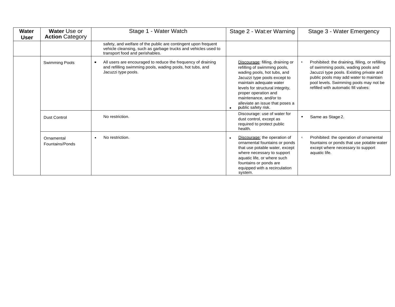| <b>Water</b><br>User | Water Use or<br><b>Action Category</b> | Stage 1 - Water Watch                                                                                                                                               | Stage 2 - Wat:er Warning                                                                                                                                                                                                                                                                                   | Stage 3 - Water Emergency                                                                                                                                                                                                                                      |
|----------------------|----------------------------------------|---------------------------------------------------------------------------------------------------------------------------------------------------------------------|------------------------------------------------------------------------------------------------------------------------------------------------------------------------------------------------------------------------------------------------------------------------------------------------------------|----------------------------------------------------------------------------------------------------------------------------------------------------------------------------------------------------------------------------------------------------------------|
|                      |                                        | safety, and welfare of the public are contingent upon frequent<br>vehicle cleansing, such as garbage trucks and vehicles used to<br>transport food and perishables. |                                                                                                                                                                                                                                                                                                            |                                                                                                                                                                                                                                                                |
|                      | Swimming Pools                         | All users are encouraged to reduce the frequency of draining<br>$\blacksquare$<br>and refilling swimming pools, wading pools, hot tubs, and<br>Jacuzzi type pools.  | Discourage: filling, draining or<br>refilling of swimming pools,<br>wading pools, hot tubs, and<br>Jacuzzi type pools except to<br>maintain adequate water<br>levels for structural integrity,<br>proper operation and<br>maintenance, and/or to<br>alleviate an issue that poses a<br>public safety risk. | Prohibited: the draining, filling, or refilling<br>of swimming pools, wading pools and<br>Jacuzzi type pools. Existing private and<br>public pools may add water to maintain<br>pool levels. Swimming pools may not be<br>refilled with automatic fill valves: |
|                      | <b>Dust Control</b>                    | No restriction.                                                                                                                                                     | Discourage: use of water for<br>dust control, except as<br>required to protect public<br>health.                                                                                                                                                                                                           | Same as Stage 2.<br>$\bullet$                                                                                                                                                                                                                                  |
|                      | Ornamental<br>Fountains/Ponds          | No restriction.                                                                                                                                                     | Discourage: the operation of<br>ornamental fountains or ponds<br>that use potable water, except<br>where necessary to support<br>aquatic life, or where such<br>fountains or ponds are<br>equipped with a recirculation<br>system.                                                                         | Prohibited: the operation of ornamental<br>fountains or ponds that use potable water<br>except where necessary to support<br>aquatic life.                                                                                                                     |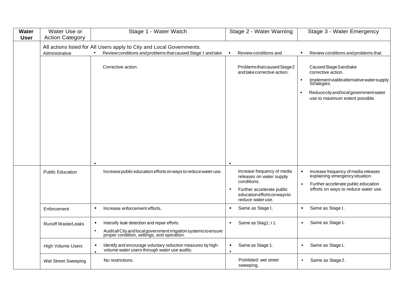| <b>Water</b><br><b>User</b> | Water Use or<br><b>Action Category</b> | Stage 1 - Water Watch                                                                                                                                                                    | Stage 2 - Water Warning                                                                                                                                  | Stage 3 - Water Emergency                                                                                                                                                              |
|-----------------------------|----------------------------------------|------------------------------------------------------------------------------------------------------------------------------------------------------------------------------------------|----------------------------------------------------------------------------------------------------------------------------------------------------------|----------------------------------------------------------------------------------------------------------------------------------------------------------------------------------------|
|                             | Administrative                         | All actions listed for All Users apply to City and Local Governments.<br>Review conditions and problems that caused Stage 1 and take                                                     | Review conditions and                                                                                                                                    | Review conditions and problems that                                                                                                                                                    |
|                             |                                        | Corrective action.                                                                                                                                                                       | Problems that caused Stage 2<br>and take corrective action.                                                                                              | Caused Stage 3 and take<br>corrective action.<br>Implement viable alternative water supply<br>Strategies.<br>Reduce city and local government water<br>use to maximum extent possible. |
|                             | <b>Public Education</b>                | Increase public education efforts on ways to reduce water use.                                                                                                                           | Increase frequency of media<br>releases on water supply<br>conditions.<br>Further accelerate public<br>education efforts on ways to<br>reduce water use. | Increase frequency of media releases<br>explaining emergency situation.<br>$\bullet$<br>Further accelerate public education<br>$\bullet$<br>efforts on ways to reduce water use.       |
|                             | Enforcement                            | Increase enforcement efforts.<br>$\bullet$                                                                                                                                               | Same as Stage 1.<br>$\bullet$                                                                                                                            | Same as Stage 1.                                                                                                                                                                       |
|                             | <b>Runoff Waste/Leaks</b>              | Intensify leak detection and repair efforts.<br>$\bullet$<br>Audit all City and local government irrigation systems to ensure<br>proper condition, settings, and operation.<br>$\bullet$ | Same as Stag1::i1.<br>$\bullet$                                                                                                                          | Same as Stage 1.<br>$\bullet$                                                                                                                                                          |
|                             | High Volume Users                      | Identify and encourage voluntary reduction measures by high-<br>$\bullet$<br>volume water users through water use audits.                                                                | Same as Stage 1.<br>$\bullet$<br>$\bullet$                                                                                                               | Same as Stage 1.<br>$\bullet$                                                                                                                                                          |
|                             | Wet Street Sweeping                    | No restrictions.                                                                                                                                                                         | Prohibited: wet street<br>sweeping.                                                                                                                      | Same as Stage 2.                                                                                                                                                                       |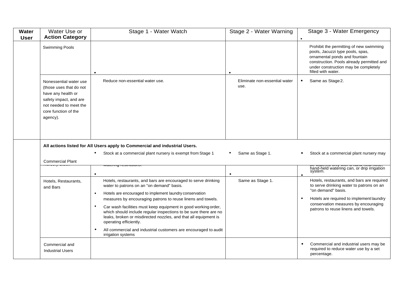| Water       | Water Use or                                                                                                                                                    | Stage 1 - Water Watch                                                                                                                                                                                                                                                                                                                                                                                                                                                                                                                                                                                    | Stage 2 - Water Warning               | Stage 3 - Water Emergency                                                                                                                                                                                                                            |
|-------------|-----------------------------------------------------------------------------------------------------------------------------------------------------------------|----------------------------------------------------------------------------------------------------------------------------------------------------------------------------------------------------------------------------------------------------------------------------------------------------------------------------------------------------------------------------------------------------------------------------------------------------------------------------------------------------------------------------------------------------------------------------------------------------------|---------------------------------------|------------------------------------------------------------------------------------------------------------------------------------------------------------------------------------------------------------------------------------------------------|
| <b>User</b> | <b>Action Category</b>                                                                                                                                          |                                                                                                                                                                                                                                                                                                                                                                                                                                                                                                                                                                                                          |                                       |                                                                                                                                                                                                                                                      |
|             | Swimming Pools                                                                                                                                                  |                                                                                                                                                                                                                                                                                                                                                                                                                                                                                                                                                                                                          |                                       | Prohibit the permitting of new swimming<br>pools, Jacuzzi type pools, spas,<br>ornamental ponds and fountain<br>construction. Pools already permitted and<br>under construction may be completely<br>filled with water.                              |
|             | Nonessential water use<br>(those uses that do not<br>have any health or<br>safety impact, and are<br>not needed to meet the<br>core function of the<br>agency). | Reduce non-essential water use.                                                                                                                                                                                                                                                                                                                                                                                                                                                                                                                                                                          | Eliminate non-essential water<br>use. | Same as Stage 2.<br>$\bullet$                                                                                                                                                                                                                        |
|             |                                                                                                                                                                 | All actions listed for All Users apply to Commercial and industrial Users.                                                                                                                                                                                                                                                                                                                                                                                                                                                                                                                               |                                       |                                                                                                                                                                                                                                                      |
|             | <b>Commercial Plant</b>                                                                                                                                         | Stock at a commercial plant nursery is exempt from Stage 1                                                                                                                                                                                                                                                                                                                                                                                                                                                                                                                                               | Same as Stage 1.                      | Stock at a commercial plant nursery may                                                                                                                                                                                                              |
|             |                                                                                                                                                                 | $\bullet$                                                                                                                                                                                                                                                                                                                                                                                                                                                                                                                                                                                                | $\bullet$                             | se watered only with a hand note nobe,<br>hand-held watering can, or drip irrigation<br>system.                                                                                                                                                      |
|             | Hotels, Restaurants,<br>and Bars                                                                                                                                | Hotels, restaurants, and bars are encouraged to serve drinking<br>water to patrons on an "on demand" basis.<br>Hotels are encouraged to implement laundry conservation<br>$\bullet$<br>measures by encouraging patrons to reuse linens and towels.<br>Car wash facilities must keep equipment in good working order,<br>$\bullet$<br>which should include regular inspections to be sure there are no<br>leaks, broken or misdirected nozzles, and that all equipment is<br>operating efficiently.<br>All commercial and industrial customers are encouraged to audit<br>$\bullet$<br>irrigation systems | Same as Stage 1.                      | Hotels, restaurants, and bars are required<br>to serve drinking water to patrons on an<br>"on demand" basis.<br>Hotels are required to implement laundry<br>$\bullet$<br>conservation measures by encouraging<br>patrons to reuse linens and towels. |
|             | Commercial and<br><b>Industrial Users</b>                                                                                                                       |                                                                                                                                                                                                                                                                                                                                                                                                                                                                                                                                                                                                          |                                       | Commercial and industrial users may be<br>$\bullet$<br>required to reduce water use by a set<br>percentage.                                                                                                                                          |